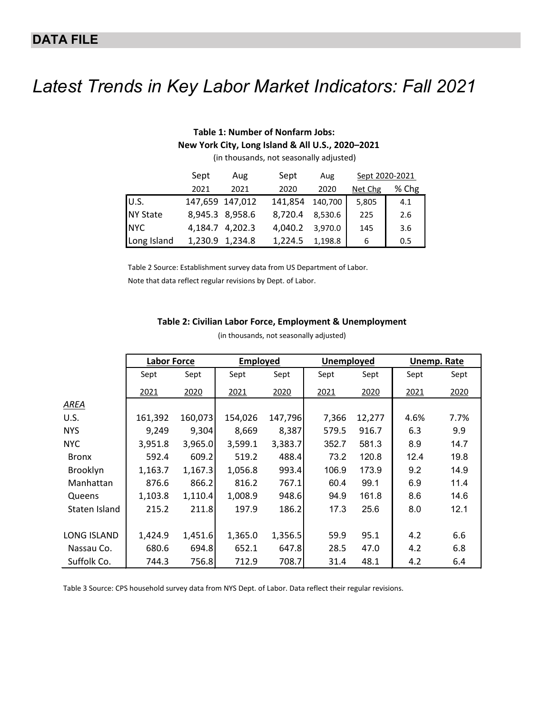## *Latest Trends in Key Labor Market Indicators: Fall 2021*

## **Table 1: Number of Nonfarm Jobs: New York City, Long Island & All U.S., 2020–2021** (in thousands, not seasonally adjusted) Sept Aug Sept Aug Sept 2020-2021

|                 | bept            | Aug             | bept    | Aug     | Sept ZUZU-ZUZI |       |
|-----------------|-----------------|-----------------|---------|---------|----------------|-------|
|                 | 2021            | 2021            | 2020    | 2020    | Net Chg        | % Chg |
| U.S.            | 147,659 147,012 |                 | 141,854 | 140,700 | 5,805          | 4.1   |
| <b>NY State</b> |                 | 8,945.3 8,958.6 | 8,720.4 | 8,530.6 | 225            | 2.6   |
| <b>NYC</b>      |                 | 4,184.7 4,202.3 | 4,040.2 | 3,970.0 | 145            | 3.6   |
| Long Island     |                 | 1,230.9 1,234.8 | 1,224.5 | 1,198.8 | 6              | 0.5   |

Table 2 Source: Establishment survey data from US Department of Labor. Note that data reflect regular revisions by Dept. of Labor.

## **Table 2: Civilian Labor Force, Employment & Unemployment**

|                 | <b>Labor Force</b> |         | <b>Employed</b> |         | Unemployed |        | <b>Unemp. Rate</b> |      |
|-----------------|--------------------|---------|-----------------|---------|------------|--------|--------------------|------|
|                 | Sept               | Sept    | Sept            | Sept    | Sept       | Sept   | Sept               | Sept |
|                 | 2021               | 2020    | 2021            | 2020    | 2021       | 2020   | 2021               | 2020 |
| AREA            |                    |         |                 |         |            |        |                    |      |
| U.S.            | 161,392            | 160,073 | 154,026         | 147,796 | 7,366      | 12,277 | 4.6%               | 7.7% |
| <b>NYS</b>      | 9,249              | 9,304   | 8,669           | 8,387   | 579.5      | 916.7  | 6.3                | 9.9  |
| <b>NYC</b>      | 3,951.8            | 3,965.0 | 3,599.1         | 3,383.7 | 352.7      | 581.3  | 8.9                | 14.7 |
| <b>Bronx</b>    | 592.4              | 609.2   | 519.2           | 488.4   | 73.2       | 120.8  | 12.4               | 19.8 |
| <b>Brooklyn</b> | 1,163.7            | 1,167.3 | 1,056.8         | 993.4   | 106.9      | 173.9  | 9.2                | 14.9 |
| Manhattan       | 876.6              | 866.2   | 816.2           | 767.1   | 60.4       | 99.1   | 6.9                | 11.4 |
| Queens          | 1,103.8            | 1,110.4 | 1,008.9         | 948.6   | 94.9       | 161.8  | 8.6                | 14.6 |
| Staten Island   | 215.2              | 211.8   | 197.9           | 186.2   | 17.3       | 25.6   | 8.0                | 12.1 |
|                 |                    |         |                 |         |            |        |                    |      |
| LONG ISLAND     | 1,424.9            | 1,451.6 | 1,365.0         | 1,356.5 | 59.9       | 95.1   | 4.2                | 6.6  |
| Nassau Co.      | 680.6              | 694.8   | 652.1           | 647.8   | 28.5       | 47.0   | 4.2                | 6.8  |
| Suffolk Co.     | 744.3              | 756.8   | 712.9           | 708.7   | 31.4       | 48.1   | 4.2                | 6.4  |

(in thousands, not seasonally adjusted)

Table 3 Source: CPS household survey data from NYS Dept. of Labor. Data reflect their regular revisions.